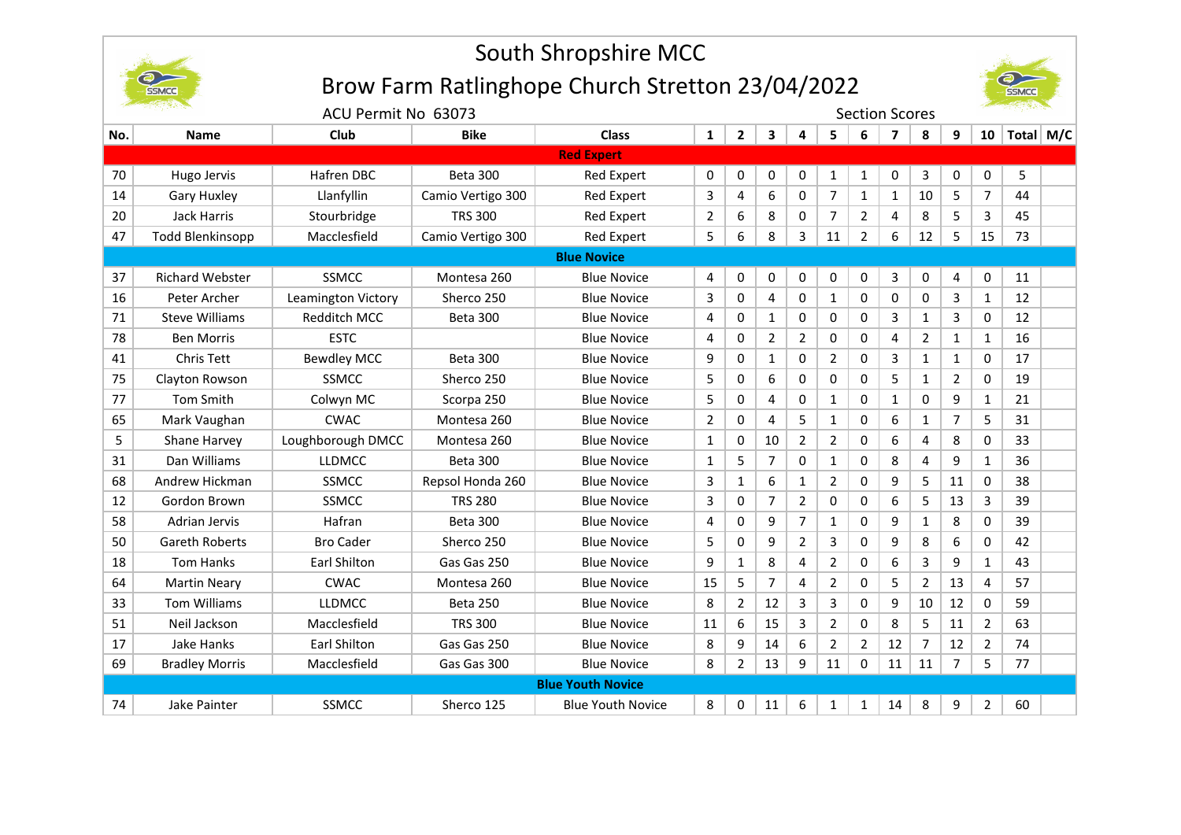

# South Shropshire MCC

## Brow Farm Ratlinghope Church Stretton 23/04/2022



|                   | ACU Permit No 63073     |                     |                   |                          |              | <b>Section Scores</b> |                |                |                |                |                |                |                |                |           |  |
|-------------------|-------------------------|---------------------|-------------------|--------------------------|--------------|-----------------------|----------------|----------------|----------------|----------------|----------------|----------------|----------------|----------------|-----------|--|
| No.               | <b>Name</b>             | Club                | <b>Bike</b>       | <b>Class</b>             | $\mathbf{1}$ | $2^{\circ}$           | 3              | 4              | 5              | 6              | $\overline{ }$ | 8              | 9              | $10-10$        | Total M/C |  |
| <b>Red Expert</b> |                         |                     |                   |                          |              |                       |                |                |                |                |                |                |                |                |           |  |
| 70                | Hugo Jervis             | Hafren DBC          | <b>Beta 300</b>   | <b>Red Expert</b>        | 0            | 0                     | 0              | 0              | $\mathbf{1}$   | $\mathbf{1}$   | 0              | 3              | 0              | 0              | 5         |  |
| 14                | <b>Gary Huxley</b>      | Llanfyllin          | Camio Vertigo 300 | Red Expert               | 3            | 4                     | 6              | 0              | $\overline{7}$ | $\mathbf{1}$   | $\mathbf{1}$   | 10             | 5              | 7              | 44        |  |
| 20                | Jack Harris             | Stourbridge         | <b>TRS 300</b>    | Red Expert               | 2            | 6                     | 8              | 0              | $\overline{7}$ | $\overline{2}$ | 4              | 8              | 5              | 3              | 45        |  |
| 47                | <b>Todd Blenkinsopp</b> | Macclesfield        | Camio Vertigo 300 | Red Expert               | 5            | 6                     | 8              | 3              | 11             | $\overline{2}$ | 6              | 12             | 5              | 15             | 73        |  |
|                   | <b>Blue Novice</b>      |                     |                   |                          |              |                       |                |                |                |                |                |                |                |                |           |  |
| 37                | <b>Richard Webster</b>  | <b>SSMCC</b>        | Montesa 260       | <b>Blue Novice</b>       | 4            | 0                     | 0              | 0              | 0              | 0              | 3              | 0              | 4              | 0              | 11        |  |
| 16                | Peter Archer            | Leamington Victory  | Sherco 250        | <b>Blue Novice</b>       | 3            | 0                     | 4              | 0              | $\mathbf{1}$   | 0              | 0              | 0              | 3              | 1              | 12        |  |
| 71                | <b>Steve Williams</b>   | Redditch MCC        | <b>Beta 300</b>   | <b>Blue Novice</b>       | 4            | 0                     | $\mathbf{1}$   | 0              | 0              | 0              | 3              | $\mathbf{1}$   | 3              | $\Omega$       | 12        |  |
| 78                | <b>Ben Morris</b>       | <b>ESTC</b>         |                   | <b>Blue Novice</b>       | 4            | 0                     | $\overline{2}$ | 2              | 0              | 0              | 4              | 2              | 1              | $\mathbf{1}$   | 16        |  |
| 41                | <b>Chris Tett</b>       | <b>Bewdley MCC</b>  | <b>Beta 300</b>   | <b>Blue Novice</b>       | 9            | 0                     | $\mathbf{1}$   | $\mathbf 0$    | $\overline{2}$ | 0              | 3              | $\mathbf{1}$   | $\mathbf{1}$   | $\Omega$       | 17        |  |
| 75                | Clayton Rowson          | <b>SSMCC</b>        | Sherco 250        | <b>Blue Novice</b>       | 5            | 0                     | 6              | 0              | 0              | 0              | 5              | $\mathbf{1}$   | $\overline{2}$ | 0              | 19        |  |
| 77                | <b>Tom Smith</b>        | Colwyn MC           | Scorpa 250        | <b>Blue Novice</b>       | 5            | 0                     | 4              | 0              | 1              | 0              | 1              | 0              | 9              | 1              | 21        |  |
| 65                | Mark Vaughan            | <b>CWAC</b>         | Montesa 260       | <b>Blue Novice</b>       | 2            | 0                     | 4              | 5              | 1              | 0              | 6              | 1              | $\overline{7}$ | 5              | 31        |  |
| 5                 | Shane Harvey            | Loughborough DMCC   | Montesa 260       | <b>Blue Novice</b>       | $\mathbf{1}$ | 0                     | 10             | 2              | 2              | 0              | 6              | 4              | 8              | 0              | 33        |  |
| 31                | Dan Williams            | <b>LLDMCC</b>       | <b>Beta 300</b>   | <b>Blue Novice</b>       | 1            | 5                     | 7              | 0              | $\mathbf{1}$   | 0              | 8              | 4              | 9              | 1              | 36        |  |
| 68                | Andrew Hickman          | <b>SSMCC</b>        | Repsol Honda 260  | <b>Blue Novice</b>       | 3            | 1                     | 6              | 1              | 2              | 0              | 9              | 5              | 11             | 0              | 38        |  |
| 12                | Gordon Brown            | <b>SSMCC</b>        | <b>TRS 280</b>    | <b>Blue Novice</b>       | 3            | 0                     | 7              | 2              | 0              | 0              | 6              | 5              | 13             | 3              | 39        |  |
| 58                | Adrian Jervis           | Hafran              | <b>Beta 300</b>   | <b>Blue Novice</b>       | 4            | 0                     | 9              | $\overline{7}$ | 1              | 0              | 9              | $\mathbf{1}$   | 8              | 0              | 39        |  |
| 50                | <b>Gareth Roberts</b>   | <b>Bro Cader</b>    | Sherco 250        | <b>Blue Novice</b>       | 5            | 0                     | 9              | 2              | 3              | 0              | 9              | 8              | 6              | 0              | 42        |  |
| 18                | <b>Tom Hanks</b>        | <b>Earl Shilton</b> | Gas Gas 250       | <b>Blue Novice</b>       | 9            | $\mathbf{1}$          | 8              | 4              | 2              | 0              | 6              | 3              | 9              | 1              | 43        |  |
| 64                | <b>Martin Neary</b>     | <b>CWAC</b>         | Montesa 260       | <b>Blue Novice</b>       | 15           | 5                     | 7              | 4              | $\overline{2}$ | 0              | 5              | $\overline{2}$ | 13             | 4              | 57        |  |
| 33                | <b>Tom Williams</b>     | <b>LLDMCC</b>       | <b>Beta 250</b>   | <b>Blue Novice</b>       | 8            | $\overline{2}$        | 12             | 3              | 3              | 0              | 9              | 10             | 12             | 0              | 59        |  |
| 51                | Neil Jackson            | Macclesfield        | <b>TRS 300</b>    | <b>Blue Novice</b>       | 11           | 6                     | 15             | 3              | $\overline{2}$ | 0              | 8              | 5              | 11             | $\overline{2}$ | 63        |  |
| 17                | Jake Hanks              | <b>Earl Shilton</b> | Gas Gas 250       | <b>Blue Novice</b>       | 8            | 9                     | 14             | 6              | $\overline{2}$ | $\overline{2}$ | 12             | 7              | 12             | $\overline{2}$ | 74        |  |
| 69                | <b>Bradley Morris</b>   | Macclesfield        | Gas Gas 300       | <b>Blue Novice</b>       | 8            | $\overline{2}$        | 13             | 9              | 11             | $\Omega$       | 11             | 11             | $\overline{7}$ | 5              | 77        |  |
|                   |                         |                     |                   | <b>Blue Youth Novice</b> |              |                       |                |                |                |                |                |                |                |                |           |  |
| 74                | Jake Painter            | <b>SSMCC</b>        | Sherco 125        | <b>Blue Youth Novice</b> | 8            | 0                     | 11             | 6              | 1              | $\mathbf{1}$   | 14             | 8              | 9              | 2              | 60        |  |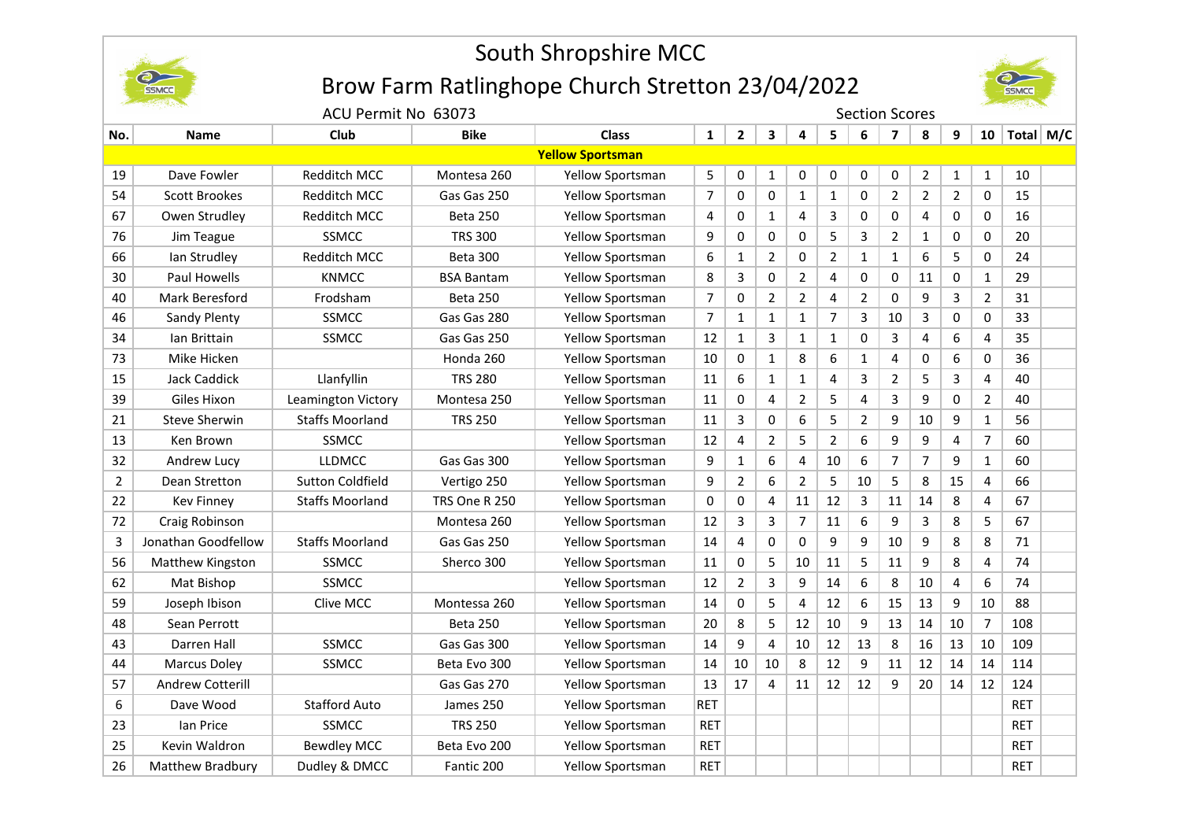

## South Shropshire MCC

## Brow Farm Ratlinghope Church Stretton 23/04/2022



ACU Permit No 63073 Section Scores

| No.                     | <b>Name</b>         | Club                    | <b>Bike</b>          | <b>Class</b>            | $\mathbf{1}$   | $\mathbf{2}$   | 3              | 4              | 5              | 6  | $\overline{\mathbf{z}}$ | 8              | 9              | 10             | Total M/C  |  |
|-------------------------|---------------------|-------------------------|----------------------|-------------------------|----------------|----------------|----------------|----------------|----------------|----|-------------------------|----------------|----------------|----------------|------------|--|
| <b>Yellow Sportsman</b> |                     |                         |                      |                         |                |                |                |                |                |    |                         |                |                |                |            |  |
| 19                      | Dave Fowler         | Redditch MCC            | Montesa 260          | Yellow Sportsman        | 5              | 0              | $\mathbf{1}$   | 0              | 0              | 0  | 0                       | $\overline{2}$ | $\mathbf{1}$   | $\mathbf{1}$   | 10         |  |
| 54                      | Scott Brookes       | Redditch MCC            | Gas Gas 250          | Yellow Sportsman        | $\overline{7}$ | 0              | 0              | $\mathbf{1}$   | $\mathbf{1}$   | 0  | $\overline{2}$          | $\overline{2}$ | $\overline{2}$ | 0              | 15         |  |
| 67                      | Owen Strudley       | Redditch MCC            | <b>Beta 250</b>      | Yellow Sportsman        | 4              | 0              | 1              | 4              | 3              | 0  | 0                       | 4              | 0              | 0              | 16         |  |
| 76                      | Jim Teague          | <b>SSMCC</b>            | <b>TRS 300</b>       | Yellow Sportsman        | 9              | 0              | 0              | 0              | 5              | 3  | $\overline{2}$          | $\mathbf{1}$   | 0              | 0              | 20         |  |
| 66                      | lan Strudley        | <b>Redditch MCC</b>     | <b>Beta 300</b>      | <b>Yellow Sportsman</b> | 6              | $\mathbf{1}$   | 2              | 0              | $\overline{2}$ | 1  | $\mathbf{1}$            | 6              | 5              | 0              | 24         |  |
| 30                      | Paul Howells        | <b>KNMCC</b>            | <b>BSA Bantam</b>    | Yellow Sportsman        | 8              | 3              | 0              | 2              | 4              | 0  | 0                       | 11             | 0              | $\mathbf{1}$   | 29         |  |
| 40                      | Mark Beresford      | Frodsham                | Beta 250             | Yellow Sportsman        | $\overline{7}$ | 0              | $\overline{2}$ | $\overline{2}$ | 4              | 2  | 0                       | 9              | 3              | $\overline{2}$ | 31         |  |
| 46                      | Sandy Plenty        | <b>SSMCC</b>            | Gas Gas 280          | Yellow Sportsman        | $\overline{7}$ | $\mathbf{1}$   | 1              | $\mathbf{1}$   | $\overline{7}$ | 3  | 10                      | 3              | 0              | 0              | 33         |  |
| 34                      | Ian Brittain        | SSMCC                   | Gas Gas 250          | Yellow Sportsman        | 12             | $\mathbf{1}$   | 3              | 1              | $\mathbf{1}$   | 0  | 3                       | 4              | 6              | $\overline{4}$ | 35         |  |
| 73                      | Mike Hicken         |                         | Honda 260            | Yellow Sportsman        | 10             | 0              | 1              | 8              | 6              | 1  | 4                       | 0              | 6              | 0              | 36         |  |
| 15                      | <b>Jack Caddick</b> | Llanfyllin              | <b>TRS 280</b>       | Yellow Sportsman        | 11             | 6              | 1              | 1              | 4              | 3  | $\overline{2}$          | 5              | 3              | 4              | 40         |  |
| 39                      | Giles Hixon         | Leamington Victory      | Montesa 250          | Yellow Sportsman        | 11             | 0              | $\overline{4}$ | 2              | 5              | 4  | 3                       | 9              | 0              | $\overline{2}$ | 40         |  |
| 21                      | Steve Sherwin       | <b>Staffs Moorland</b>  | <b>TRS 250</b>       | Yellow Sportsman        | 11             | 3              | 0              | 6              | 5              | 2  | 9                       | 10             | 9              | $\mathbf{1}$   | 56         |  |
| 13                      | Ken Brown           | <b>SSMCC</b>            |                      | Yellow Sportsman        | 12             | 4              | $\overline{2}$ | 5              | $\overline{2}$ | 6  | 9                       | 9              | 4              | $\overline{7}$ | 60         |  |
| 32                      | Andrew Lucy         | <b>LLDMCC</b>           | Gas Gas 300          | Yellow Sportsman        | 9              | $\mathbf{1}$   | 6              | 4              | 10             | 6  | 7                       | 7              | 9              | $\mathbf{1}$   | 60         |  |
| $\overline{2}$          | Dean Stretton       | <b>Sutton Coldfield</b> | Vertigo 250          | Yellow Sportsman        | 9              | $\overline{2}$ | 6              | 2              | 5              | 10 | 5                       | 8              | 15             | 4              | 66         |  |
| 22                      | <b>Kev Finney</b>   | <b>Staffs Moorland</b>  | <b>TRS One R 250</b> | Yellow Sportsman        | 0              | 0              | 4              | 11             | 12             | 3  | 11                      | 14             | 8              | $\overline{4}$ | 67         |  |
| 72                      | Craig Robinson      |                         | Montesa 260          | Yellow Sportsman        | 12             | 3              | 3              | 7              | 11             | 6  | 9                       | 3              | 8              | 5              | 67         |  |
| 3                       | Jonathan Goodfellow | <b>Staffs Moorland</b>  | Gas Gas 250          | Yellow Sportsman        | 14             | 4              | 0              | 0              | 9              | 9  | 10                      | 9              | 8              | 8              | 71         |  |
| 56                      | Matthew Kingston    | <b>SSMCC</b>            | Sherco 300           | <b>Yellow Sportsman</b> | 11             | 0              | 5              | 10             | 11             | 5  | 11                      | 9              | 8              | 4              | 74         |  |
| 62                      | Mat Bishop          | <b>SSMCC</b>            |                      | Yellow Sportsman        | 12             | $\overline{2}$ | 3              | 9              | 14             | 6  | 8                       | 10             | 4              | 6              | 74         |  |
| 59                      | Joseph Ibison       | Clive MCC               | Montessa 260         | Yellow Sportsman        | 14             | 0              | 5              | 4              | 12             | 6  | 15                      | 13             | 9              | 10             | 88         |  |
| 48                      | Sean Perrott        |                         | <b>Beta 250</b>      | Yellow Sportsman        | 20             | 8              | 5              | 12             | 10             | 9  | 13                      | 14             | 10             | $\overline{7}$ | 108        |  |
| 43                      | Darren Hall         | SSMCC                   | Gas Gas 300          | Yellow Sportsman        | 14             | 9              | $\overline{4}$ | 10             | 12             | 13 | 8                       | 16             | 13             | 10             | 109        |  |
| 44                      | Marcus Doley        | SSMCC                   | Beta Evo 300         | Yellow Sportsman        | 14             | 10             | 10             | 8              | 12             | 9  | 11                      | 12             | 14             | 14             | 114        |  |
| 57                      | Andrew Cotterill    |                         | Gas Gas 270          | Yellow Sportsman        | 13             | 17             | 4              | 11             | 12             | 12 | 9                       | 20             | 14             | 12             | 124        |  |
| 6                       | Dave Wood           | <b>Stafford Auto</b>    | James 250            | Yellow Sportsman        | <b>RET</b>     |                |                |                |                |    |                         |                |                |                | <b>RET</b> |  |
| 23                      | lan Price           | SSMCC                   | <b>TRS 250</b>       | Yellow Sportsman        | <b>RET</b>     |                |                |                |                |    |                         |                |                |                | <b>RET</b> |  |
| 25                      | Kevin Waldron       | <b>Bewdley MCC</b>      | Beta Evo 200         | Yellow Sportsman        | <b>RET</b>     |                |                |                |                |    |                         |                |                |                | <b>RET</b> |  |
| 26                      | Matthew Bradbury    | Dudley & DMCC           | Fantic 200           | Yellow Sportsman        | <b>RET</b>     |                |                |                |                |    |                         |                |                |                | <b>RET</b> |  |